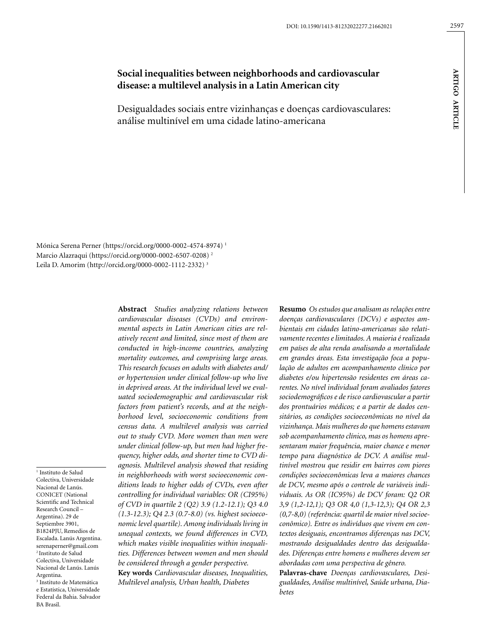# **Social inequalities between neighborhoods and cardiovascular disease: a multilevel analysis in a Latin American city**

Desigualdades sociais entre vizinhanças e doenças cardiovasculares: análise multinível em uma cidade latino-americana

Mónica Serena Perner (https://orcid.org/0000-0002-4574-8974) 1 Marcio Alazraqui (https://orcid.org/0000-0002-6507-0208) 2 Leila D. Amorim (http://orcid.org/0000-0002-1112-2332) 3

1 Instituto de Salud Colectiva, Universidade Nacional de Lanús. CONICET (National Scientific and Technical Research Council – Argentina). 29 de Septiembre 3901, B1824PJU, Remedios de Escalada. Lanús Argentina. [serenaperner@gmail.com](mailto:serenaperner@gmail.com) 2 Instituto de Salud Colectiva, Universidade Nacional de Lanús. Lanús Argentina. 3 Instituto de Matemática e Estatística, Universidade Federal da Bahia. Salvador BA Brasil.

*cardiovascular diseases (CVDs) and environmental aspects in Latin American cities are relatively recent and limited, since most of them are conducted in high-income countries, analyzing mortality outcomes, and comprising large areas. This research focuses on adults with diabetes and/ or hypertension under clinical follow-up who live in deprived areas. At the individual level we evaluated sociodemographic and cardiovascular risk factors from patient's records, and at the neighborhood level, socioeconomic conditions from census data. A multilevel analysis was carried out to study CVD. More women than men were under clinical follow-up, but men had higher frequency, higher odds, and shorter time to CVD diagnosis. Multilevel analysis showed that residing in neighborhoods with worst socioeconomic conditions leads to higher odds of CVDs, even after controlling for individual variables: OR (CI95%) of CVD in quartile 2 (Q2) 3.9 (1.2-12.1); Q3 4.0 (1.3-12.3); Q4 2.3 (0.7-8.0) (vs. highest socioeconomic level quartile). Among individuals living in unequal contexts, we found differences in CVD, which makes visible inequalities within inequalities. Differences between women and men should be considered through a gender perspective.*  **Key words** *Cardiovascular diseases, Inequalities, Multilevel analysis, Urban health, Diabetes*

**Abstract** *Studies analyzing relations between* 

**Resumo** *Os estudos que analisam as relações entre doenças cardiovasculares (DCVs) e aspectos ambientais em cidades latino-americanas são relativamente recentes e limitados. A maioria é realizada em países de alta renda analisando a mortalidade em grandes áreas. Esta investigação foca a população de adultos em acompanhamento clínico por diabetes e/ou hipertensão residentes em áreas carentes. No nível individual foram avaliados fatores sociodemográficos e de risco cardiovascular a partir dos prontuários médicos; e a partir de dados censitários, as condições socioeconômicas no nível da vizinhança. Mais mulheres do que homens estavam sob acompanhamento clínico, mas os homens apresentaram maior frequência, maior chance e menor tempo para diagnóstico de DCV. A análise multinível mostrou que residir em bairros com piores condições socioeconômicas leva a maiores chances de DCV, mesmo após o controle de variáveis individuais. As OR (IC95%) de DCV foram: Q2 OR 3,9 (1,2-12,1); Q3 OR 4,0 (1,3-12,3); Q4 OR 2,3 (0,7-8,0) (referência: quartil de maior nível socioeconômico). Entre os indivíduos que vivem em contextos desiguais, encontramos diferenças nas DCV, mostrando desigualdades dentro das desigualdades. Diferenças entre homens e mulheres devem ser abordadas com uma perspectiva de gênero.*

**Palavras-chave** *Doenças cardiovasculares, Desigualdades, Análise multinível, Saúde urbana, Diabetes*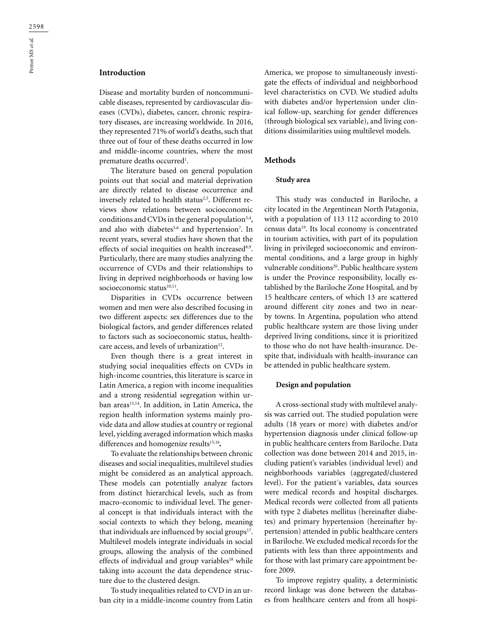# **Introduction**

Disease and mortality burden of noncommunicable diseases, represented by cardiovascular diseases (CVDs), diabetes, cancer, chronic respiratory diseases, are increasing worldwide. In 2016, they represented 71% of world's deaths, such that three out of four of these deaths occurred in low and middle-income countries, where the most premature deaths occurred<sup>1</sup>.

The literature based on general population points out that social and material deprivation are directly related to disease occurrence and inversely related to health status<sup>2,3</sup>. Different reviews show relations between socioeconomic conditions and CVDs in the general population<sup>3,4</sup>, and also with diabetes<sup>5,6</sup> and hypertension<sup>7</sup>. In recent years, several studies have shown that the effects of social inequities on health increased<sup>8,9</sup>. Particularly, there are many studies analyzing the occurrence of CVDs and their relationships to living in deprived neighborhoods or having low socioeconomic status<sup>10,11</sup>.

Disparities in CVDs occurrence between women and men were also described focusing in two different aspects: sex differences due to the biological factors, and gender differences related to factors such as socioeconomic status, healthcare access, and levels of urbanization<sup>12</sup>.

Even though there is a great interest in studying social inequalities effects on CVDs in high-income countries, this literature is scarce in Latin America, a region with income inequalities and a strong residential segregation within urban areas<sup>13,14</sup>. In addition, in Latin America, the region health information systems mainly provide data and allow studies at country or regional level, yielding averaged information which masks differences and homogenize results<sup>15,16</sup>.

To evaluate the relationships between chronic diseases and social inequalities, multilevel studies might be considered as an analytical approach. These models can potentially analyze factors from distinct hierarchical levels, such as from macro-economic to individual level. The general concept is that individuals interact with the social contexts to which they belong, meaning that individuals are influenced by social groups<sup>17</sup>. Multilevel models integrate individuals in social groups, allowing the analysis of the combined effects of individual and group variables<sup>18</sup> while taking into account the data dependence structure due to the clustered design.

To study inequalities related to CVD in an urban city in a middle-income country from Latin America, we propose to simultaneously investigate the effects of individual and neighborhood level characteristics on CVD. We studied adults with diabetes and/or hypertension under clinical follow-up, searching for gender differences (through biological sex variable), and living conditions dissimilarities using multilevel models.

#### **Methods**

### **Study area**

This study was conducted in Bariloche, a city located in the Argentinean North Patagonia, with a population of 113 112 according to 2010 census data19. Its local economy is concentrated in tourism activities, with part of its population living in privileged socioeconomic and environmental conditions, and a large group in highly vulnerable conditions<sup>20</sup>. Public healthcare system is under the Province responsibility, locally established by the Bariloche Zone Hospital*,* and by 15 healthcare centers, of which 13 are scattered around different city zones and two in nearby towns. In Argentina, population who attend public healthcare system are those living under deprived living conditions, since it is prioritized to those who do not have health-insurance. Despite that, individuals with health-insurance can be attended in public healthcare system.

## **Design and population**

A cross-sectional study with multilevel analysis was carried out. The studied population were adults (18 years or more) with diabetes and/or hypertension diagnosis under clinical follow-up in public healthcare centers from Bariloche. Data collection was done between 2014 and 2015, including patient's variables (individual level) and neighborhoods variables (aggregated/clustered level). For the patient´s variables, data sources were medical records and hospital discharges. Medical records were collected from all patients with type 2 diabetes mellitus (hereinafter diabetes) and primary hypertension (hereinafter hypertension) attended in public healthcare centers in Bariloche. We excluded medical records for the patients with less than three appointments and for those with last primary care appointment before 2009.

To improve registry quality, a deterministic record linkage was done between the databases from healthcare centers and from all hospi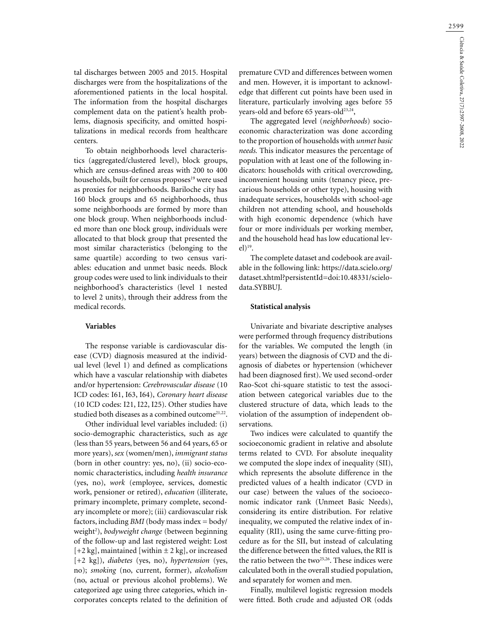tal discharges between 2005 and 2015. Hospital discharges were from the hospitalizations of the aforementioned patients in the local hospital. The information from the hospital discharges complement data on the patient's health problems, diagnosis specificity, and omitted hospitalizations in medical records from healthcare centers.

To obtain neighborhoods level characteristics (aggregated/clustered level), block groups, which are census-defined areas with 200 to 400 households, built for census proposes<sup>19</sup> were used as proxies for neighborhoods. Bariloche city has 160 block groups and 65 neighborhoods, thus some neighborhoods are formed by more than one block group. When neighborhoods included more than one block group, individuals were allocated to that block group that presented the most similar characteristics (belonging to the same quartile) according to two census variables: education and unmet basic needs. Block group codes were used to link individuals to their neighborhood's characteristics (level 1 nested to level 2 units), through their address from the medical records.

# **Variables**

The response variable is cardiovascular disease (CVD) diagnosis measured at the individual level (level 1) and defined as complications which have a vascular relationship with diabetes and/or hypertension: *Cerebrovascular disease* (10 ICD codes: I61, I63, I64), *Coronary heart disease*  (10 ICD codes: I21, I22, I25). Other studies have studied both diseases as a combined outcome<sup>21,22</sup>.

Other individual level variables included: (i) socio-demographic characteristics, such as a*ge* (less than 55 years, between 56 and 64 years, 65 or more years), *sex* (women/men), *immigrant status* (born in other country: yes, no), (ii) socio-economic characteristics, including *health insurance* (yes, no), *work* (employee, services, domestic work, pensioner or retired), *education* (illiterate, primary incomplete, primary complete, secondary incomplete or more); (iii) cardiovascular risk factors, including *BMI* (body mass index = body/ weight<sup>2</sup>), *bodyweight change* (between beginning of the follow-up and last registered weight: Lost  $[-2 \text{ kg}]$ , maintained [within  $\pm 2 \text{ kg}$ ], or increased [+2 kg]), *diabetes* (yes, no), *hypertension* (yes, no); *smoking* (no, current, former), *alcoholism* (no, actual or previous alcohol problems). We categorized age using three categories, which incorporates concepts related to the definition of

premature CVD and differences between women and men. However, it is important to acknowledge that different cut points have been used in literature, particularly involving ages before 55 years-old and before 65 years-old<sup>23,24</sup>,

The aggregated level (*neighborhoods*) socioeconomic characterization was done according to the proportion of households with *unmet basic needs.* This indicator measures the percentage of population with at least one of the following indicators: households with critical overcrowding, inconvenient housing units (tenancy piece, precarious households or other type), housing with inadequate services, households with school-age children not attending school, and households with high economic dependence (which have four or more individuals per working member, and the household head has low educational lev $el)$ <sup>19</sup>.

The complete dataset and codebook are available in the following link: [https://data.scielo.org/](https://data.scielo.org/dataset.xhtml?persistentId=doi:10.48331/scielodata.SYBBUJ) [dataset.xhtml?persistentId=doi:10.48331/scielo](https://data.scielo.org/dataset.xhtml?persistentId=doi:10.48331/scielodata.SYBBUJ)[data.SYBBUJ.](https://data.scielo.org/dataset.xhtml?persistentId=doi:10.48331/scielodata.SYBBUJ)

#### **Statistical analysis**

Univariate and bivariate descriptive analyses were performed through frequency distributions for the variables. We computed the length (in years) between the diagnosis of CVD and the diagnosis of diabetes or hypertension (whichever had been diagnosed first). We used second-order Rao-Scot chi-square statistic to test the association between categorical variables due to the clustered structure of data, which leads to the violation of the assumption of independent observations.

Two indices were calculated to quantify the socioeconomic gradient in relative and absolute terms related to CVD. For absolute inequality we computed the slope index of inequality (SII), which represents the absolute difference in the predicted values of a health indicator (CVD in our case) between the values of the socioeconomic indicator rank (Unmeet Basic Needs), considering its entire distribution. For relative inequality, we computed the relative index of inequality (RII), using the same curve-fitting procedure as for the SII, but instead of calculating the difference between the fitted values, the RII is the ratio between the two<sup>25,26</sup>. These indices were calculated both in the overall studied population, and separately for women and men.

Finally, multilevel logistic regression models were fitted. Both crude and adjusted OR (odds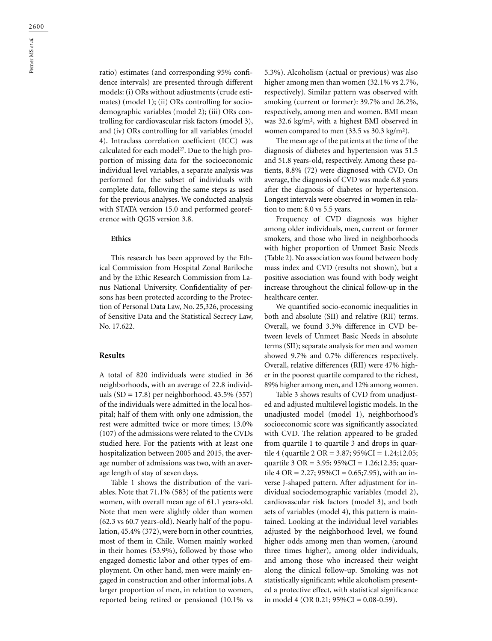Perner MS *et al.*

ratio) estimates (and corresponding 95% confidence intervals) are presented through different models: (i) ORs without adjustments (crude estimates) (model 1); (ii) ORs controlling for sociodemographic variables (model 2); (iii) ORs controlling for cardiovascular risk factors (model 3), and (iv) ORs controlling for all variables (model 4). Intraclass correlation coefficient (ICC) was calculated for each model<sup>27</sup>. Due to the high proportion of missing data for the socioeconomic individual level variables, a separate analysis was performed for the subset of individuals with complete data, following the same steps as used for the previous analyses. We conducted analysis with STATA version 15.0 and performed georeference with QGIS version 3.8.

#### **Ethics**

This research has been approved by the Ethical Commission from Hospital Zonal Bariloche and by the Ethic Research Commission from Lanus National University. Confidentiality of persons has been protected according to the Protection of Personal Data Law, No. 25,326, processing of Sensitive Data and the Statistical Secrecy Law, No. 17.622.

### **Results**

A total of 820 individuals were studied in 36 neighborhoods, with an average of 22.8 individuals (SD = 17.8) per neighborhood. 43.5% (357) of the individuals were admitted in the local hospital; half of them with only one admission, the rest were admitted twice or more times; 13.0% (107) of the admissions were related to the CVDs studied here. For the patients with at least one hospitalization between 2005 and 2015, the average number of admissions was two, with an average length of stay of seven days.

Table 1 shows the distribution of the variables. Note that 71.1% (583) of the patients were women, with overall mean age of 61.1 years-old. Note that men were slightly older than women (62.3 vs 60.7 years-old). Nearly half of the population, 45.4% (372), were born in other countries, most of them in Chile. Women mainly worked in their homes (53.9%), followed by those who engaged domestic labor and other types of employment. On other hand, men were mainly engaged in construction and other informal jobs. A larger proportion of men, in relation to women, reported being retired or pensioned (10.1% vs 5.3%). Alcoholism (actual or previous) was also higher among men than women (32.1% vs 2.7%, respectively). Similar pattern was observed with smoking (current or former): 39.7% and 26.2%, respectively, among men and women. BMI mean was 32.6 kg/m², with a highest BMI observed in women compared to men (33.5 vs 30.3 kg/m²).

The mean age of the patients at the time of the diagnosis of diabetes and hypertension was 51.5 and 51.8 years-old, respectively. Among these patients, 8.8% (72) were diagnosed with CVD. On average, the diagnosis of CVD was made 6.8 years after the diagnosis of diabetes or hypertension. Longest intervals were observed in women in relation to men: 8.0 vs 5.5 years.

Frequency of CVD diagnosis was higher among older individuals, men, current or former smokers, and those who lived in neighborhoods with higher proportion of Unmeet Basic Needs (Table 2). No association was found between body mass index and CVD (results not shown), but a positive association was found with body weight increase throughout the clinical follow-up in the healthcare center.

We quantified socio-economic inequalities in both and absolute (SII) and relative (RII) terms. Overall, we found 3.3% difference in CVD between levels of Unmeet Basic Needs in absolute terms (SII); separate analysis for men and women showed 9.7% and 0.7% differences respectively. Overall, relative differences (RII) were 47% higher in the poorest quartile compared to the richest, 89% higher among men, and 12% among women.

Table 3 shows results of CVD from unadjusted and adjusted multilevel logistic models. In the unadjusted model (model 1), neighborhood's socioeconomic score was significantly associated with CVD. The relation appeared to be graded from quartile 1 to quartile 3 and drops in quartile 4 (quartile 2 OR = 3.87; 95%CI = 1.24;12.05; quartile 3 OR = 3.95;  $95\%CI = 1.26; 12.35;$  quartile 4 OR = 2.27;  $95\%CI = 0.65; 7.95$ , with an inverse J-shaped pattern. After adjustment for individual sociodemographic variables (model 2), cardiovascular risk factors (model 3), and both sets of variables (model 4), this pattern is maintained. Looking at the individual level variables adjusted by the neighborhood level, we found higher odds among men than women, (around three times higher), among older individuals, and among those who increased their weight along the clinical follow-up. Smoking was not statistically significant; while alcoholism presented a protective effect, with statistical significance in model 4 (OR 0.21;  $95\%CI = 0.08 - 0.59$ ).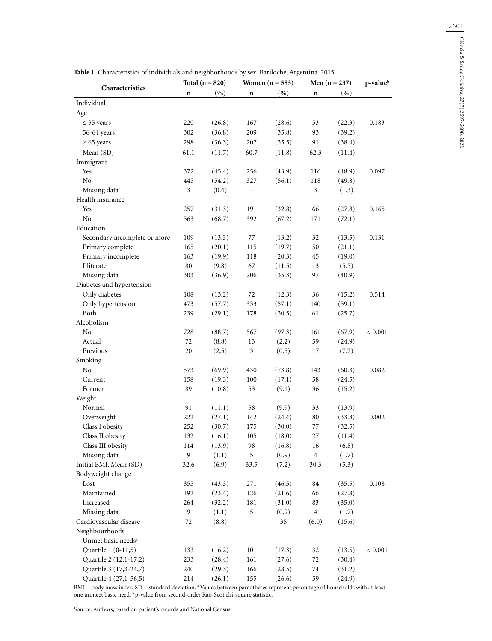| Characteristics                |                | Total $(n = 820)$ |                              | Women $(n = 583)$ |                  | Men $(n = 237)$ | p-valueb  |  |
|--------------------------------|----------------|-------------------|------------------------------|-------------------|------------------|-----------------|-----------|--|
|                                | n              | (9)               | n                            | (9)               | $\mathbf n$      | (%)             |           |  |
| Individual                     |                |                   |                              |                   |                  |                 |           |  |
| Age                            |                |                   |                              |                   |                  |                 |           |  |
| $\leq$ 55 years                | 220            | (26.8)            | 167                          | (28.6)            | 53               | (22.3)          | 0.183     |  |
| 56-64 years                    | 302            | (36.8)            | 209                          | (35.8)            | 93               | (39.2)          |           |  |
| $\geq 65$ years                | 298            | (36.3)            | 207                          | (35.5)            | 91               | (38.4)          |           |  |
| Mean (SD)                      | 61.1           | (11.7)            | 60.7                         | (11.8)            | 62.3             | (11.4)          |           |  |
| Immigrant                      |                |                   |                              |                   |                  |                 |           |  |
| Yes                            | 372            | (45.4)            | 256                          | (43.9)            | 116              | (48.9)          | 0.097     |  |
| No                             | 445            | (54.2)            | 327                          | (56.1)            | 118              | (49.8)          |           |  |
| Missing data                   | $\mathfrak{Z}$ | (0.4)             | $\qquad \qquad \blacksquare$ |                   | $\mathfrak{Z}$   | (1.3)           |           |  |
| Health insurance               |                |                   |                              |                   |                  |                 |           |  |
| Yes                            | 257            | (31.3)            | 191                          | (32.8)            | 66               | (27.8)          | 0.165     |  |
| $\rm No$                       | 563            | (68.7)            | 392                          | (67.2)            | 171              | (72.1)          |           |  |
| Education                      |                |                   |                              |                   |                  |                 |           |  |
| Secondary incomplete or more   | 109            | (13.3)            | 77                           | (13.2)            | 32               | (13.5)          | 0.131     |  |
| Primary complete               | 165            | (20.1)            | 115                          | (19.7)            | 50               | (21.1)          |           |  |
| Primary incomplete             | 163            | (19.9)            | 118                          | (20.3)            | 45               | (19.0)          |           |  |
| Illiterate                     | 80             | (9.8)             | 67                           | (11.5)            | 13               | (5.5)           |           |  |
| Missing data                   | 303            | (36.9)            | 206                          | (35.3)            | 97               | (40.9)          |           |  |
| Diabetes and hypertension      |                |                   |                              |                   |                  |                 |           |  |
| Only diabetes                  | 108            | (13.2)            | 72                           | (12.3)            | 36               | (15.2)          | 0.514     |  |
| Only hypertension              | 473            | (57.7)            | 333                          | (57.1)            | 140              | (59.1)          |           |  |
| Both                           | 239            | (29.1)            | 178                          | (30.5)            | 61               | (25.7)          |           |  |
| Alcoholism                     |                |                   |                              |                   |                  |                 |           |  |
| No                             | 728            | (88.7)            | 567                          | (97.3)            | 161              | (67.9)          | < 0.001   |  |
| Actual                         | $72\,$         | (8.8)             | 13                           | (2.2)             | 59               | (24.9)          |           |  |
| Previous                       | $20\,$         | (2,5)             | $\mathfrak{Z}$               | (0.5)             | 17               | (7.2)           |           |  |
| Smoking                        |                |                   |                              |                   |                  |                 |           |  |
| No                             | 573            | (69.9)            | 430                          | (73.8)            | 143              | (60.3)          | 0.082     |  |
| Current                        | 158            | (19.3)            | 100                          | (17.1)            | 58               | (24.5)          |           |  |
| Former                         | 89             | (10.8)            | 53                           | (9.1)             | 36               | (15.2)          |           |  |
| Weight                         |                |                   |                              |                   |                  |                 |           |  |
| Normal                         | 91             | (11.1)            | 58                           | (9.9)             | 33               | (13.9)          |           |  |
| Overweight                     | 222            | (27.1)            | 142                          | (24.4)            | 80               | (33.8)          | 0.002     |  |
| Class I obesity                | 252            | (30.7)            | 175                          | (30.0)            | 77               | (32.5)          |           |  |
| Class II obesity               | 132            | (16.1)            | 105                          | (18.0)            | 27               | (11.4)          |           |  |
| Class III obesity              | 114            | (13.9)            | 98                           | (16.8)            | 16               | (6.8)           |           |  |
| Missing data                   | 9              | (1.1)             | 5                            | (0.9)             | $\boldsymbol{4}$ | (1.7)           |           |  |
| Initial BMI. Mean (SD)         | 32.6           | (6.9)             | 33.5                         | (7.2)             | 30.3             | (5.3)           |           |  |
| Bodyweight change              |                |                   |                              |                   |                  |                 |           |  |
| Lost                           | 355            | (43.3)            | 271                          | (46.5)            | 84               | (35.5)          | 0.108     |  |
| Maintained                     | 192            | (23.4)            | 126                          | (21.6)            | 66               | (27.8)          |           |  |
| Increased                      | 264            | (32.2)            | 181                          | (31.0)            | 83               | (35.0)          |           |  |
| Missing data                   | 9              | (1.1)             | 5                            | (0.9)             | $\,4$            | (1.7)           |           |  |
| Cardiovascular disease         | 72             | (8.8)             |                              | 35                | (6.0)            | (15.6)          |           |  |
| Neighbourhoods                 |                |                   |                              |                   |                  |                 |           |  |
| Unmet basic needs <sup>a</sup> |                |                   |                              |                   |                  |                 |           |  |
| Quartile 1 (0-11,5)            | 133            | (16.2)            | 101                          | (17.3)            | 32               | (13.5)          | $< 0.001$ |  |
| Quartile 2 (12,1-17,2)         | 233            | (28.4)            | 161                          | (27.6)            | 72               | (30.4)          |           |  |
| Quartile 3 (17,3-24,7)         | 240            | (29.3)            | 166                          | (28.5)            | 74               | (31.2)          |           |  |
| Quartile 4 (27,1-56,5)         | 214            | (26.1)            | 155                          | (26.6)            | 59               | (24.9)          |           |  |

**Table 1.** Characteristics of individuals and neighborhoods by sex. Bariloche, Argentina. 2015.

BMI = body mass index; SD = standard deviation. <sup>a</sup> Values between parentheses represent percentage of households with at least one unmeet basic need. b p-value from second-order Rao-Scot chi-square statistic.

Source: Authors, based on patient's records and National Census.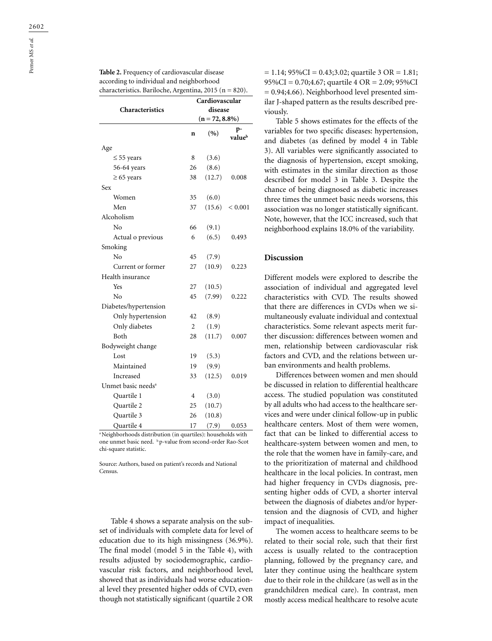| Characteristics                | Cardiovascular<br>disease<br>$(n = 72, 8.8\%)$ |        |              |  |  |
|--------------------------------|------------------------------------------------|--------|--------------|--|--|
|                                | $\mathbf n$                                    | (9)    | p-<br>valueb |  |  |
| Age                            |                                                |        |              |  |  |
| $\leq$ 55 years                | 8                                              | (3.6)  |              |  |  |
| 56-64 years                    | 26                                             | (8.6)  |              |  |  |
| $\geq 65$ years                | 38                                             | (12.7) | 0.008        |  |  |
| Sex                            |                                                |        |              |  |  |
| Women                          | 35                                             | (6.0)  |              |  |  |
| Men                            | 37                                             | (15.6) | < 0.001      |  |  |
| Alcoholism                     |                                                |        |              |  |  |
| No                             | 66                                             | (9.1)  |              |  |  |
| Actual o previous              | 6                                              | (6.5)  | 0.493        |  |  |
| Smoking                        |                                                |        |              |  |  |
| No                             | 45                                             | (7.9)  |              |  |  |
| Current or former              | 27                                             | (10.9) | 0.223        |  |  |
| Health insurance               |                                                |        |              |  |  |
| Yes                            | 27                                             | (10.5) |              |  |  |
| No                             | 45                                             | (7.99) | 0.222        |  |  |
| Diabetes/hypertension          |                                                |        |              |  |  |
| Only hypertension              | 42                                             | (8.9)  |              |  |  |
| Only diabetes                  | $\overline{2}$                                 | (1.9)  |              |  |  |
| <b>Both</b>                    | 28                                             | (11.7) | 0.007        |  |  |
| Bodyweight change              |                                                |        |              |  |  |
| Lost                           | 19                                             | (5.3)  |              |  |  |
| Maintained                     | 19                                             | (9.9)  |              |  |  |
| Increased                      | 33                                             | (12.5) | 0.019        |  |  |
| Unmet basic needs <sup>a</sup> |                                                |        |              |  |  |
| Quartile 1                     | $\overline{4}$                                 | (3.0)  |              |  |  |
| Quartile 2                     | 25                                             | (10.7) |              |  |  |
| Quartile 3                     | 26                                             | (10.8) |              |  |  |
| Quartile 4                     | 17                                             | (7.9)  | 0.053        |  |  |

a Neighborhoods distribution (in quartiles): households with one unmet basic need. b p-value from second-order Rao-Scot chi-square statistic.

Source: Authors, based on patient's records and National Census.

Table 4 shows a separate analysis on the subset of individuals with complete data for level of education due to its high missingness (36.9%). The final model (model 5 in the Table 4), with results adjusted by sociodemographic, cardiovascular risk factors, and neighborhood level, showed that as individuals had worse educational level they presented higher odds of CVD, even though not statistically significant (quartile 2 OR

 $= 1.14$ ; 95%CI = 0.43;3.02; quartile 3 OR = 1.81; 95%CI = 0.70;4.67; quartile 4 OR = 2.09; 95%CI  $= 0.94;4.66$ ). Neighborhood level presented similar J-shaped pattern as the results described previously.

Table 5 shows estimates for the effects of the variables for two specific diseases: hypertension, and diabetes (as defined by model 4 in Table 3). All variables were significantly associated to the diagnosis of hypertension, except smoking, with estimates in the similar direction as those described for model 3 in Table 3. Despite the chance of being diagnosed as diabetic increases three times the unmeet basic needs worsens, this association was no longer statistically significant. Note, however, that the ICC increased, such that neighborhood explains 18.0% of the variability.

# **Discussion**

Different models were explored to describe the association of individual and aggregated level characteristics with CVD. The results showed that there are differences in CVDs when we simultaneously evaluate individual and contextual characteristics. Some relevant aspects merit further discussion: differences between women and men, relationship between cardiovascular risk factors and CVD, and the relations between urban environments and health problems.

Differences between women and men should be discussed in relation to differential healthcare access. The studied population was constituted by all adults who had access to the healthcare services and were under clinical follow-up in public healthcare centers. Most of them were women, fact that can be linked to differential access to healthcare-system between women and men, to the role that the women have in family-care, and to the prioritization of maternal and childhood healthcare in the local policies. In contrast, men had higher frequency in CVDs diagnosis, presenting higher odds of CVD, a shorter interval between the diagnosis of diabetes and/or hypertension and the diagnosis of CVD, and higher impact of inequalities.

The women access to healthcare seems to be related to their social role, such that their first access is usually related to the contraception planning, followed by the pregnancy care, and later they continue using the healthcare system due to their role in the childcare (as well as in the grandchildren medical care). In contrast, men mostly access medical healthcare to resolve acute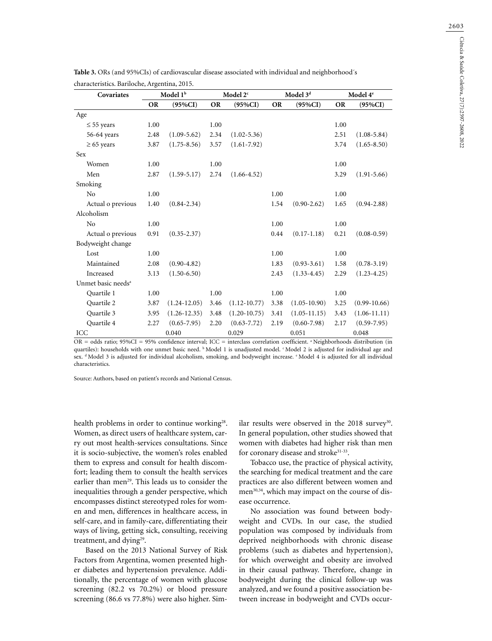| Covariates                     | Model 1 <sup>b</sup> |                  |           | Model 2 <sup>c</sup> |           | Model $3^{\rm d}$ | Model 4 <sup>e</sup> |                 |  |
|--------------------------------|----------------------|------------------|-----------|----------------------|-----------|-------------------|----------------------|-----------------|--|
|                                | <b>OR</b>            | $(95\%CI)$       | <b>OR</b> | $(95\%CI)$           | <b>OR</b> | $(95\%CI)$        | <b>OR</b>            | $(95\%CI)$      |  |
| Age                            |                      |                  |           |                      |           |                   |                      |                 |  |
| $\leq$ 55 years                | 1.00                 |                  | 1.00      |                      |           |                   | 1.00                 |                 |  |
| 56-64 years                    | 2.48                 | $(1.09 - 5.62)$  | 2.34      | $(1.02 - 5.36)$      |           |                   | 2.51                 | $(1.08 - 5.84)$ |  |
| $\geq 65$ years                | 3.87                 | $(1.75 - 8.56)$  | 3.57      | $(1.61 - 7.92)$      |           |                   | 3.74                 | $(1.65 - 8.50)$ |  |
| Sex                            |                      |                  |           |                      |           |                   |                      |                 |  |
| Women                          | 1.00                 |                  | 1.00      |                      |           |                   | 1.00                 |                 |  |
| Men                            | 2.87                 | $(1.59 - 5.17)$  | 2.74      | $(1.66 - 4.52)$      |           |                   | 3.29                 | $(1.91 - 5.66)$ |  |
| Smoking                        |                      |                  |           |                      |           |                   |                      |                 |  |
| N <sub>o</sub>                 | 1.00                 |                  |           |                      | 1.00      |                   | 1.00                 |                 |  |
| Actual o previous              | 1.40                 | $(0.84 - 2.34)$  |           |                      | 1.54      | $(0.90 - 2.62)$   | 1.65                 | $(0.94 - 2.88)$ |  |
| Alcoholism                     |                      |                  |           |                      |           |                   |                      |                 |  |
| No                             | 1.00                 |                  |           |                      | 1.00      |                   | 1.00                 |                 |  |
| Actual o previous              | 0.91                 | $(0.35 - 2.37)$  |           |                      | 0.44      | $(0.17 - 1.18)$   | 0.21                 | $(0.08 - 0.59)$ |  |
| Bodyweight change              |                      |                  |           |                      |           |                   |                      |                 |  |
| Lost                           | 1.00                 |                  |           |                      | 1.00      |                   | 1.00                 |                 |  |
| Maintained                     | 2.08                 | $(0.90 - 4.82)$  |           |                      | 1.83      | $(0.93 - 3.61)$   | 1.58                 | $(0.78 - 3.19)$ |  |
| Increased                      | 3.13                 | $(1.50 - 6.50)$  |           |                      | 2.43      | $(1.33 - 4.45)$   | 2.29                 | $(1.23 - 4.25)$ |  |
| Unmet basic needs <sup>a</sup> |                      |                  |           |                      |           |                   |                      |                 |  |
| Quartile 1                     | 1.00                 |                  | 1.00      |                      | 1.00      |                   | 1.00                 |                 |  |
| Quartile 2                     | 3.87                 | $(1.24 - 12.05)$ | 3.46      | $(1.12 - 10.77)$     | 3.38      | $(1.05 - 10.90)$  | 3.25                 | $(0.99-10.66)$  |  |
| Quartile 3                     | 3.95                 | $(1.26 - 12.35)$ | 3.48      | $(1.20 - 10.75)$     | 3.41      | $(1.05 - 11.15)$  | 3.43                 | $(1.06-11.11)$  |  |
| Quartile 4                     | 2.27                 | $(0.65 - 7.95)$  | 2.20      | $(0.63 - 7.72)$      | 2.19      | $(0.60 - 7.98)$   | 2.17                 | $(0.59 - 7.95)$ |  |
| ICC                            |                      | 0.040            |           | 0.029                |           | 0.051             |                      | 0.048           |  |

|  | Table 3. ORs (and 95%CIs) of cardiovascular disease associated with individual and neighborhood's                                                                                                                                                                                                                                                         |  |  |  |  |
|--|-----------------------------------------------------------------------------------------------------------------------------------------------------------------------------------------------------------------------------------------------------------------------------------------------------------------------------------------------------------|--|--|--|--|
|  | $\lambda$ and $\lambda$ and $\lambda$ and $\lambda$ and $\lambda$ and $\lambda$ and $\lambda$ and $\lambda$ and $\lambda$ and $\lambda$ and $\lambda$ and $\lambda$ and $\lambda$ and $\lambda$ and $\lambda$ and $\lambda$ and $\lambda$ and $\lambda$ and $\lambda$ and $\lambda$ and $\lambda$ and $\lambda$ and $\lambda$ and $\lambda$ and $\lambda$ |  |  |  |  |

OR = odds ratio;  $95\%$ CI =  $95\%$  confidence interval; ICC = interclass correlation coefficient. <sup>a</sup> Neighborhoods distribution (in quartiles): households with one unmet basic need. b Model 1 is unadjusted model. C Model 2 is adjusted for individual age and sex. <sup>d</sup> Model 3 is adjusted for individual alcoholism, smoking, and bodyweight increase. <sup>c</sup> Model 4 is adjusted for all individual characteristics.

Source: Authors, based on patient's records and National Census.

health problems in order to continue working<sup>28</sup>. Women, as direct users of healthcare system, carry out most health-services consultations. Since it is socio-subjective, the women's roles enabled them to express and consult for health discomfort; leading them to consult the health services earlier than men<sup>29</sup>. This leads us to consider the inequalities through a gender perspective, which encompasses distinct stereotyped roles for women and men, differences in healthcare access, in self-care, and in family-care, differentiating their ways of living, getting sick, consulting, receiving treatment, and dying<sup>29</sup>.

Based on the 2013 National Survey of Risk Factors from Argentina, women presented higher diabetes and hypertension prevalence. Additionally, the percentage of women with glucose screening (82.2 vs 70.2%) or blood pressure screening (86.6 vs 77.8%) were also higher. Similar results were observed in the  $2018$  survey<sup>30</sup>. In general population, other studies showed that women with diabetes had higher risk than men for coronary disease and stroke<sup>31-33</sup>.

Tobacco use, the practice of physical activity, the searching for medical treatment and the care practices are also different between women and men<sup>30,34</sup>, which may impact on the course of disease occurrence.

No association was found between bodyweight and CVDs. In our case, the studied population was composed by individuals from deprived neighborhoods with chronic disease problems (such as diabetes and hypertension), for which overweight and obesity are involved in their causal pathway. Therefore, change in bodyweight during the clinical follow-up was analyzed, and we found a positive association between increase in bodyweight and CVDs occur-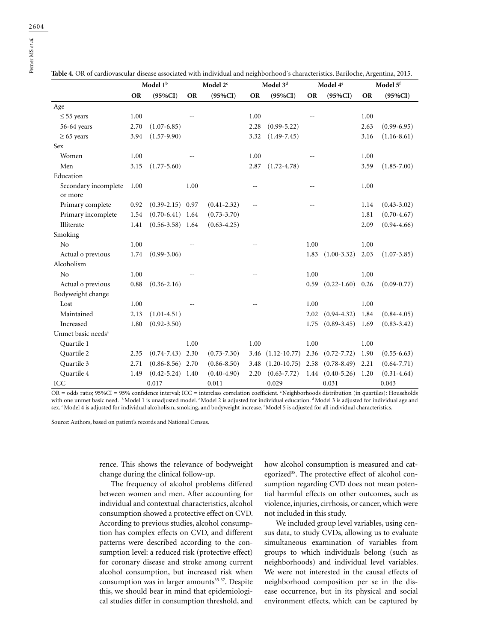|                                | Model 1 <sup>b</sup> |                      | Model 2 <sup>c</sup> |                 |           | Model 3 <sup>d</sup> |           | Model 4 <sup>e</sup> |           | Model 5 <sup>f</sup> |  |
|--------------------------------|----------------------|----------------------|----------------------|-----------------|-----------|----------------------|-----------|----------------------|-----------|----------------------|--|
|                                | <b>OR</b>            | $(95\%CI)$           | <b>OR</b>            | $(95\%CI)$      | <b>OR</b> | $(95\%CI)$           | <b>OR</b> | $(95\%CI)$           | <b>OR</b> | $(95\%CI)$           |  |
| Age                            |                      |                      |                      |                 |           |                      |           |                      |           |                      |  |
| $\leq$ 55 years                | 1.00                 |                      |                      |                 | 1.00      |                      |           |                      | 1.00      |                      |  |
| 56-64 years                    | 2.70                 | $(1.07 - 6.85)$      |                      |                 | 2.28      | $(0.99 - 5.22)$      |           |                      | 2.63      | $(0.99 - 6.95)$      |  |
| $\geq 65$ years                | 3.94                 | $(1.57-9.90)$        |                      |                 | 3.32      | $(1.49 - 7.45)$      |           |                      | 3.16      | $(1.16 - 8.61)$      |  |
| <b>Sex</b>                     |                      |                      |                      |                 |           |                      |           |                      |           |                      |  |
| Women                          | 1.00                 |                      |                      |                 | 1.00      |                      |           |                      | 1.00      |                      |  |
| Men                            | 3.15                 | $(1.77 - 5.60)$      |                      |                 | 2.87      | $(1.72 - 4.78)$      |           |                      | 3.59      | $(1.85 - 7.00)$      |  |
| Education                      |                      |                      |                      |                 |           |                      |           |                      |           |                      |  |
| Secondary incomplete           | 1.00                 |                      | 1.00                 |                 |           |                      |           |                      | 1.00      |                      |  |
| or more                        |                      |                      |                      |                 |           |                      |           |                      |           |                      |  |
| Primary complete               | 0.92                 | $(0.39-2.15)$ 0.97   |                      | $(0.41 - 2.32)$ |           |                      |           |                      | 1.14      | $(0.43 - 3.02)$      |  |
| Primary incomplete             | 1.54                 | $(0.70-6.41)$ 1.64   |                      | $(0.73 - 3.70)$ |           |                      |           |                      | 1.81      | $(0.70 - 4.67)$      |  |
| Illiterate                     | 1.41                 | $(0.56 - 3.58)$ 1.64 |                      | $(0.63 - 4.25)$ |           |                      |           |                      | 2.09      | $(0.94 - 4.66)$      |  |
| Smoking                        |                      |                      |                      |                 |           |                      |           |                      |           |                      |  |
| N <sub>o</sub>                 | 1.00                 |                      |                      |                 |           |                      | 1.00      |                      | 1.00      |                      |  |
| Actual o previous              | 1.74                 | $(0.99 - 3.06)$      |                      |                 |           |                      | 1.83      | $(1.00 - 3.32)$      | 2.03      | $(1.07 - 3.85)$      |  |
| Alcoholism                     |                      |                      |                      |                 |           |                      |           |                      |           |                      |  |
| N <sub>o</sub>                 | 1.00                 |                      |                      |                 |           |                      | 1.00      |                      | 1.00      |                      |  |
| Actual o previous              | 0.88                 | $(0.36 - 2.16)$      |                      |                 |           |                      | 0.59      | $(0.22 - 1.60)$      | 0.26      | $(0.09 - 0.77)$      |  |
| Bodyweight change              |                      |                      |                      |                 |           |                      |           |                      |           |                      |  |
| Lost                           | 1.00                 |                      |                      |                 | $-$       |                      | 1.00      |                      | 1.00      |                      |  |
| Maintained                     | 2.13                 | $(1.01 - 4.51)$      |                      |                 |           |                      | 2.02      | $(0.94 - 4.32)$      | 1.84      | $(0.84 - 4.05)$      |  |
| Increased                      | 1.80                 | $(0.92 - 3.50)$      |                      |                 |           |                      | 1.75      | $(0.89 - 3.45)$      | 1.69      | $(0.83 - 3.42)$      |  |
| Unmet basic needs <sup>a</sup> |                      |                      |                      |                 |           |                      |           |                      |           |                      |  |
| Quartile 1                     |                      |                      | 1.00                 |                 | 1.00      |                      | 1.00      |                      | 1.00      |                      |  |
| Quartile 2                     | 2.35                 | $(0.74 - 7.43)$      | 2.30                 | $(0.73 - 7.30)$ | 3.46      | $(1.12 - 10.77)$     | 2.36      | $(0.72 - 7.72)$      | 1.90      | $(0.55 - 6.63)$      |  |
| Quartile 3                     | 2.71                 | $(0.86 - 8.56)$ 2.70 |                      | $(0.86 - 8.50)$ | 3.48      | $(1.20 - 10.75)$     | 2.58      | $(0.78 - 8.49)$      | 2.21      | $(0.64 - 7.71)$      |  |
| Quartile 4                     | 1.49                 | $(0.42 - 5.24)$ 1.40 |                      | $(0.40 - 4.90)$ | 2.20      | $(0.63 - 7.72)$      | 1.44      | $(0.40 - 5.26)$      | 1.20      | $(0.31 - 4.64)$      |  |
| ICC                            |                      | 0.017                |                      | 0.011           |           | 0.029                |           | 0.031                |           | 0.043                |  |

**Table 4.** OR of cardiovascular disease associated with individual and neighborhood´s characteristics. Bariloche, Argentina, 2015.

OR = odds ratio; 95%CI = 95% confidence interval; ICC = interclass correlation coefficient. a Neighborhoods distribution (in quartiles): Households with one unmet basic need. b Model 1 is unadjusted model. CModel 2 is adjusted for individual education. AModel 3 is adjusted for individual age and sex. *'Model 4* is adjusted for individual alcoholism, smoking, and bodyweight increase. <sup>*f*</sup>Model 5 is adjusted for all individual characteristics.

Source: Authors, based on patient's records and National Census.

rence. This shows the relevance of bodyweight change during the clinical follow-up.

The frequency of alcohol problems differed between women and men. After accounting for individual and contextual characteristics, alcohol consumption showed a protective effect on CVD. According to previous studies, alcohol consumption has complex effects on CVD, and different patterns were described according to the consumption level: a reduced risk (protective effect) for coronary disease and stroke among current alcohol consumption, but increased risk when consumption was in larger amounts<sup>35-37</sup>. Despite this, we should bear in mind that epidemiological studies differ in consumption threshold, and how alcohol consumption is measured and categorized<sup>38</sup>. The protective effect of alcohol consumption regarding CVD does not mean potential harmful effects on other outcomes, such as violence, injuries, cirrhosis, or cancer, which were not included in this study.

We included group level variables, using census data, to study CVDs, allowing us to evaluate simultaneous examination of variables from groups to which individuals belong (such as neighborhoods) and individual level variables. We were not interested in the causal effects of neighborhood composition per se in the disease occurrence, but in its physical and social environment effects, which can be captured by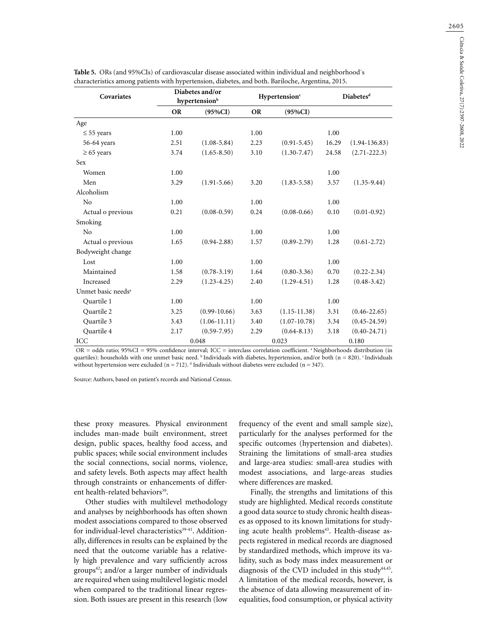| Covariates                     |           | Diabetes and/or<br>hypertension <sup>b</sup> |           | Hypertension <sup>c</sup> | Diabetes <sup>d</sup> |                   |  |
|--------------------------------|-----------|----------------------------------------------|-----------|---------------------------|-----------------------|-------------------|--|
|                                | <b>OR</b> | $(95\%CI)$                                   | <b>OR</b> | $(95\%CI)$                |                       |                   |  |
| Age                            |           |                                              |           |                           |                       |                   |  |
| $\leq$ 55 years                | 1.00      |                                              | 1.00      |                           | 1.00                  |                   |  |
| 56-64 years                    | 2.51      | $(1.08 - 5.84)$                              | 2.23      | $(0.91 - 5.45)$           | 16.29                 | $(1.94 - 136.83)$ |  |
| $\geq 65$ years                | 3.74      | $(1.65 - 8.50)$                              | 3.10      | $(1.30 - 7.47)$           | 24.58                 | $(2.71 - 222.3)$  |  |
| Sex                            |           |                                              |           |                           |                       |                   |  |
| Women                          | 1.00      |                                              |           |                           | 1.00                  |                   |  |
| Men                            | 3.29      | $(1.91 - 5.66)$                              | 3.20      | $(1.83 - 5.58)$           | 3.57                  | $(1.35 - 9.44)$   |  |
| Alcoholism                     |           |                                              |           |                           |                       |                   |  |
| No                             | 1.00      |                                              | 1.00      |                           | 1.00                  |                   |  |
| Actual o previous              | 0.21      | $(0.08 - 0.59)$                              | 0.24      | $(0.08 - 0.66)$           | 0.10                  | $(0.01 - 0.92)$   |  |
| Smoking                        |           |                                              |           |                           |                       |                   |  |
| N <sub>o</sub>                 | 1.00      |                                              | 1.00      |                           | 1.00                  |                   |  |
| Actual o previous              | 1.65      | $(0.94 - 2.88)$                              | 1.57      | $(0.89 - 2.79)$           | 1.28                  | $(0.61 - 2.72)$   |  |
| Bodyweight change              |           |                                              |           |                           |                       |                   |  |
| Lost                           | 1.00      |                                              | 1.00      |                           | 1.00                  |                   |  |
| Maintained                     | 1.58      | $(0.78 - 3.19)$                              | 1.64      | $(0.80 - 3.36)$           | 0.70                  | $(0.22 - 2.34)$   |  |
| Increased                      | 2.29      | $(1.23 - 4.25)$                              | 2.40      | $(1.29 - 4.51)$           | 1.28                  | $(0.48 - 3.42)$   |  |
| Unmet basic needs <sup>a</sup> |           |                                              |           |                           |                       |                   |  |
| Quartile 1                     | 1.00      |                                              | 1.00      |                           | 1.00                  |                   |  |
| Ouartile 2                     | 3.25      | $(0.99-10.66)$                               | 3.63      | $(1.15 - 11.38)$          | 3.31                  | $(0.46 - 22.65)$  |  |
| Ouartile 3                     | 3.43      | $(1.06 - 11.11)$                             | 3.40      | $(1.07 - 10.78)$          | 3.34                  | $(0.45 - 24.59)$  |  |
| Quartile 4                     | 2.17      | $(0.59 - 7.95)$                              | 2.29      | $(0.64 - 8.13)$           | 3.18                  | $(0.40 - 24.71)$  |  |
| ICC                            |           | 0.048                                        |           | 0.023                     |                       | 0.180             |  |

| Table 5. ORs (and 95%CIs) of cardiovascular disease associated within individual and neighborhood's |
|-----------------------------------------------------------------------------------------------------|
| characteristics among patients with hypertension, diabetes, and both. Bariloche, Argentina, 2015.   |

 $OR =$  odds ratio; 95%CI = 95% confidence interval; ICC = interclass correlation coefficient. <sup>a</sup> Neighborhoods distribution (in quartiles): households with one unmet basic need. <sup>b</sup> Individuals with diabetes, hypertension, and/or both (n = 820). *'Individuals* without hypertension were excluded ( $n = 712$ ). <sup>d</sup> Individuals without diabetes were excluded ( $n = 347$ ).

Source: Authors, based on patient's records and National Census.

these proxy measures. Physical environment includes man-made built environment, street design, public spaces, healthy food access, and public spaces; while social environment includes the social connections, social norms, violence, and safety levels. Both aspects may affect health through constraints or enhancements of different health-related behaviors<sup>39</sup>.

Other studies with multilevel methodology and analyses by neighborhoods has often shown modest associations compared to those observed for individual-level characteristics<sup>39-41</sup>. Additionally, differences in results can be explained by the need that the outcome variable has a relatively high prevalence and vary sufficiently across groups $42$ ; and/or a larger number of individuals are required when using multilevel logistic model when compared to the traditional linear regression. Both issues are present in this research (low

frequency of the event and small sample size), particularly for the analyses performed for the specific outcomes (hypertension and diabetes). Straining the limitations of small-area studies and large-area studies: small-area studies with modest associations, and large-areas studies where differences are masked.

Finally, the strengths and limitations of this study are highlighted. Medical records constitute a good data source to study chronic health diseases as opposed to its known limitations for studying acute health problems<sup>43</sup>. Health-disease aspects registered in medical records are diagnosed by standardized methods, which improve its validity, such as body mass index measurement or diagnosis of the CVD included in this study $44,45$ . A limitation of the medical records, however, is the absence of data allowing measurement of inequalities, food consumption, or physical activity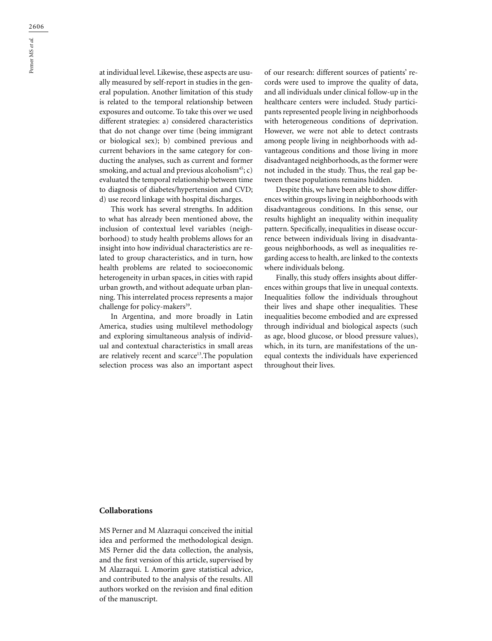at individual level. Likewise, these aspects are usually measured by self-report in studies in the general population. Another limitation of this study is related to the temporal relationship between exposures and outcome. To take this over we used different strategies: a) considered characteristics that do not change over time (being immigrant or biological sex); b) combined previous and current behaviors in the same category for conducting the analyses, such as current and former smoking, and actual and previous alcoholism<sup>45</sup>; c) evaluated the temporal relationship between time to diagnosis of diabetes/hypertension and CVD; d) use record linkage with hospital discharges.

This work has several strengths. In addition to what has already been mentioned above, the inclusion of contextual level variables (neighborhood) to study health problems allows for an insight into how individual characteristics are related to group characteristics, and in turn, how health problems are related to socioeconomic heterogeneity in urban spaces, in cities with rapid urban growth, and without adequate urban planning. This interrelated process represents a major challenge for policy-makers<sup>39</sup>.

In Argentina, and more broadly in Latin America, studies using multilevel methodology and exploring simultaneous analysis of individual and contextual characteristics in small areas are relatively recent and scarce<sup>13</sup>. The population selection process was also an important aspect

of our research: different sources of patients' records were used to improve the quality of data, and all individuals under clinical follow-up in the healthcare centers were included. Study participants represented people living in neighborhoods with heterogeneous conditions of deprivation. However, we were not able to detect contrasts among people living in neighborhoods with advantageous conditions and those living in more disadvantaged neighborhoods, as the former were not included in the study. Thus, the real gap between these populations remains hidden.

Despite this, we have been able to show differences within groups living in neighborhoods with disadvantageous conditions. In this sense, our results highlight an inequality within inequality pattern. Specifically, inequalities in disease occurrence between individuals living in disadvantageous neighborhoods, as well as inequalities regarding access to health, are linked to the contexts where individuals belong.

Finally, this study offers insights about differences within groups that live in unequal contexts. Inequalities follow the individuals throughout their lives and shape other inequalities. These inequalities become embodied and are expressed through individual and biological aspects (such as age, blood glucose, or blood pressure values), which, in its turn, are manifestations of the unequal contexts the individuals have experienced throughout their lives.

#### **Collaborations**

MS Perner and M Alazraqui conceived the initial idea and performed the methodological design. MS Perner did the data collection, the analysis, and the first version of this article, supervised by M Alazraqui. L Amorim gave statistical advice, and contributed to the analysis of the results. All authors worked on the revision and final edition of the manuscript.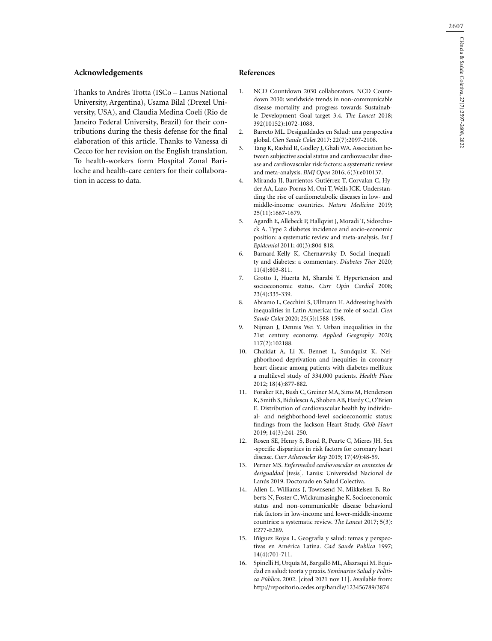# **Acknowledgements**

Thanks to Andrés Trotta (ISCo – Lanus National University, Argentina), Usama Bilal (Drexel University, USA), and Claudia Medina Coeli (Rio de Janeiro Federal University, Brazil) for their contributions during the thesis defense for the final elaboration of this article. Thanks to Vanessa di Cecco for her revision on the English translation. To health-workers form Hospital Zonal Bariloche and health-care centers for their collaboration in access to data.

## **References**

- 1. NCD Countdown 2030 collaborators. NCD Countdown 2030: worldwide trends in non-communicable disease mortality and progress towards Sustainable Development Goal target 3.4. *The Lancet* 2018; 392(10152):1072-1088.
- 2. Barreto ML. Desigualdades en Salud: una perspectiva global. *Cien Saude Colet* 2017: 22(7):2097-2108.
- 3. Tang K, Rashid R, Godley J, Ghali WA. Association between subjective social status and cardiovascular disease and cardiovascular risk factors: a systematic review and meta-analysis. *BMJ Open* 2016; 6(3):e010137.
- 4. Miranda JJ, Barrientos-Gutiérrez T, Corvalan C, Hyder AA, Lazo-Porras M, Oni T, Wells JCK. Understanding the rise of cardiometabolic diseases in low- and middle-income countries. *Nature Medicine* 2019; 25(11):1667-1679.
- 5. Agardh E, Allebeck P, Hallqvist J, Moradi T, Sidorchuck A. Type 2 diabetes incidence and socio-economic position: a systematic review and meta-analysis. *Int J Epidemiol* 2011; 40(3):804-818.
- 6. Barnard-Kelly K, Chernavvsky D. Social inequality and diabetes: a commentary. *Diabetes Ther* 2020; 11(4):803-811.
- 7. Grotto I, Huerta M, Sharabi Y. Hypertension and socioeconomic status. *Curr Opin Cardiol* 2008; 23(4):335-339.
- 8. Abramo L, Cecchini S, Ullmann H. Addressing health inequalities in Latin America: the role of social. *Cien Saude Colet* 2020; 25(5):1588-1598.
- 9. Nijman J, Dennis Wei Y. Urban inequalities in the 21st century economy. *Applied Geography* 2020; 117(2):102188.
- 10. Chaikiat A, Li X, Bennet L, Sundquist K. Neighborhood deprivation and inequities in coronary heart disease among patients with diabetes mellitus: a multilevel study of 334,000 patients. *Health Place* 2012; 18(4):877-882.
- 11. Foraker RE, Bush C, Greiner MA, Sims M, Henderson K, Smith S, Bidulescu A, Shoben AB, Hardy C, O'Brien E. Distribution of cardiovascular health by individual- and neighborhood-level socioeconomic status: findings from the Jackson Heart Study. *Glob Heart*  2019; 14(3):241-250.
- 12. Rosen SE, Henry S, Bond R, Pearte C, Mieres JH. Sex -specific disparities in risk factors for coronary heart disease. *Curr Atheroscler Rep* 2015; 17(49):48-59.
- 13. Perner MS. *Enfermedad cardiovascular en contextos de desigualdad* [tesis]*.* Lanús: Universidad Nacional de Lanús 2019. Doctorado en Salud Colectiva.
- 14. Allen L, Williams J, Townsend N, Mikkelsen B, Roberts N, Foster C, Wickramasinghe K. Socioeconomic status and non-communicable disease behavioral risk factors in low-income and lower-middle-income countries: a systematic review. *The Lancet* 2017; 5(3): E277-E289.
- 15. Iñíguez Rojas L. Geografía y salud: temas y perspectivas en América Latina. *Cad Saude Publica* 1997; 14(4):701-711.
- 16. Spinelli H, Urquía M, Bargalló ML, Alazraqui M. Equidad en salud: teoría y praxis. *Seminarios Salud y Política Pública*. 2002. [cited 2021 nov 11]. Available from: <http://repositorio.cedes.org/handle/123456789/3874>